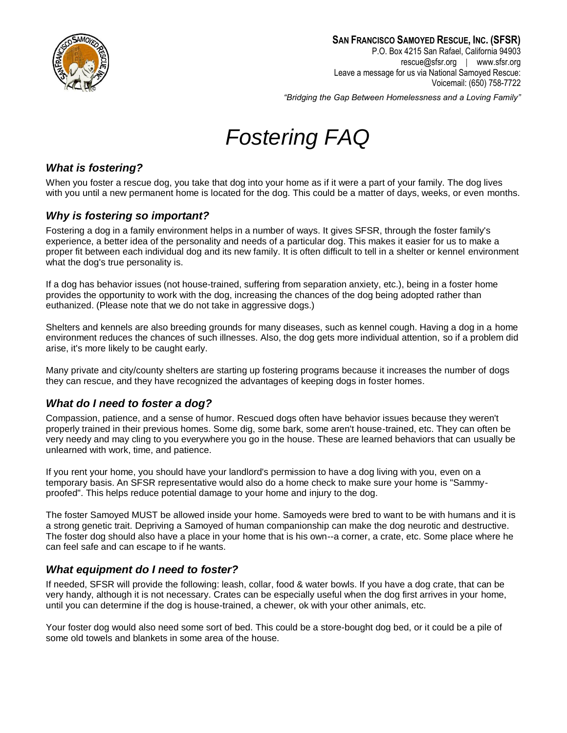

*"Bridging the Gap Between Homelessness and a Loving Family"*

# *Fostering FAQ*

#### *What is fostering?*

When you foster a rescue dog, you take that dog into your home as if it were a part of your family. The dog lives with you until a new permanent home is located for the dog. This could be a matter of days, weeks, or even months.

#### *Why is fostering so important?*

Fostering a dog in a family environment helps in a number of ways. It gives SFSR, through the foster family's experience, a better idea of the personality and needs of a particular dog. This makes it easier for us to make a proper fit between each individual dog and its new family. It is often difficult to tell in a shelter or kennel environment what the dog's true personality is.

If a dog has behavior issues (not house-trained, suffering from separation anxiety, etc.), being in a foster home provides the opportunity to work with the dog, increasing the chances of the dog being adopted rather than euthanized. (Please note that we do not take in aggressive dogs.)

Shelters and kennels are also breeding grounds for many diseases, such as kennel cough. Having a dog in a home environment reduces the chances of such illnesses. Also, the dog gets more individual attention, so if a problem did arise, it's more likely to be caught early.

Many private and city/county shelters are starting up fostering programs because it increases the number of dogs they can rescue, and they have recognized the advantages of keeping dogs in foster homes.

#### *What do I need to foster a dog?*

Compassion, patience, and a sense of humor. Rescued dogs often have behavior issues because they weren't properly trained in their previous homes. Some dig, some bark, some aren't house-trained, etc. They can often be very needy and may cling to you everywhere you go in the house. These are learned behaviors that can usually be unlearned with work, time, and patience.

If you rent your home, you should have your landlord's permission to have a dog living with you, even on a temporary basis. An SFSR representative would also do a home check to make sure your home is "Sammyproofed". This helps reduce potential damage to your home and injury to the dog.

The foster Samoyed MUST be allowed inside your home. Samoyeds were bred to want to be with humans and it is a strong genetic trait. Depriving a Samoyed of human companionship can make the dog neurotic and destructive. The foster dog should also have a place in your home that is his own--a corner, a crate, etc. Some place where he can feel safe and can escape to if he wants.

#### *What equipment do I need to foster?*

If needed, SFSR will provide the following: leash, collar, food & water bowls. If you have a dog crate, that can be very handy, although it is not necessary. Crates can be especially useful when the dog first arrives in your home, until you can determine if the dog is house-trained, a chewer, ok with your other animals, etc.

Your foster dog would also need some sort of bed. This could be a store-bought dog bed, or it could be a pile of some old towels and blankets in some area of the house.